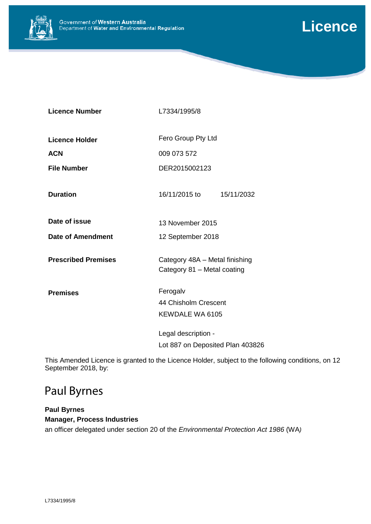



| L7334/1995/8                                                  |  |
|---------------------------------------------------------------|--|
| Fero Group Pty Ltd                                            |  |
| 009 073 572                                                   |  |
| DER2015002123                                                 |  |
| 16/11/2015 to<br>15/11/2032                                   |  |
| 13 November 2015                                              |  |
| 12 September 2018                                             |  |
| Category 48A - Metal finishing<br>Category 81 - Metal coating |  |
| Ferogalv                                                      |  |
| 44 Chisholm Crescent                                          |  |
| KEWDALE WA 6105                                               |  |
| Legal description -                                           |  |
| Lot 887 on Deposited Plan 403826                              |  |
|                                                               |  |

This Amended Licence is granted to the Licence Holder, subject to the following conditions, on 12 September 2018, by:

# Paul Byrnes

### **Paul Byrnes Manager, Process Industries**

an officer delegated under section 20 of the *Environmental Protection Act 1986* (WA*)*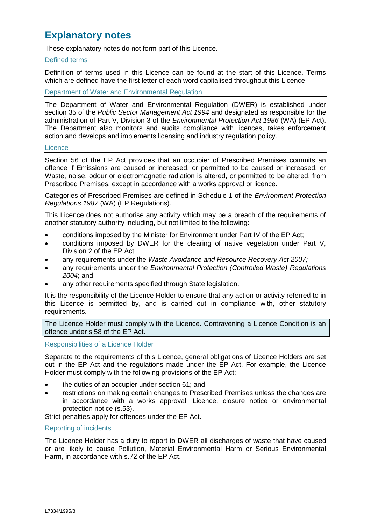## **Explanatory notes**

These explanatory notes do not form part of this Licence.

#### Defined terms

Definition of terms used in this Licence can be found at the start of this Licence. Terms which are defined have the first letter of each word capitalised throughout this Licence.

Department of Water and Environmental Regulation

The Department of Water and Environmental Regulation (DWER) is established under section 35 of the *Public Sector Management Act 1994* and designated as responsible for the administration of Part V, Division 3 of the *Environmental Protection Act 1986* (WA) (EP Act). The Department also monitors and audits compliance with licences, takes enforcement action and develops and implements licensing and industry regulation policy.

#### **Licence**

Section 56 of the EP Act provides that an occupier of Prescribed Premises commits an offence if Emissions are caused or increased, or permitted to be caused or increased, or Waste, noise, odour or electromagnetic radiation is altered, or permitted to be altered, from Prescribed Premises, except in accordance with a works approval or licence.

Categories of Prescribed Premises are defined in Schedule 1 of the *Environment Protection Regulations 1987* (WA) (EP Regulations).

This Licence does not authorise any activity which may be a breach of the requirements of another statutory authority including, but not limited to the following:

- conditions imposed by the Minister for Environment under Part IV of the EP Act;
- conditions imposed by DWER for the clearing of native vegetation under Part V, Division 2 of the EP Act;
- any requirements under the *Waste Avoidance and Resource Recovery Act 2007;*
- any requirements under the *Environmental Protection (Controlled Waste) Regulations 2004*; and
- any other requirements specified through State legislation.

It is the responsibility of the Licence Holder to ensure that any action or activity referred to in this Licence is permitted by, and is carried out in compliance with, other statutory requirements.

The Licence Holder must comply with the Licence. Contravening a Licence Condition is an offence under s.58 of the EP Act.

Responsibilities of a Licence Holder

Separate to the requirements of this Licence, general obligations of Licence Holders are set out in the EP Act and the regulations made under the EP Act. For example, the Licence Holder must comply with the following provisions of the EP Act:

- the duties of an occupier under section 61; and
- restrictions on making certain changes to Prescribed Premises unless the changes are in accordance with a works approval, Licence, closure notice or environmental protection notice (s.53).

Strict penalties apply for offences under the EP Act.

#### Reporting of incidents

The Licence Holder has a duty to report to DWER all discharges of waste that have caused or are likely to cause Pollution, Material Environmental Harm or Serious Environmental Harm, in accordance with s.72 of the EP Act.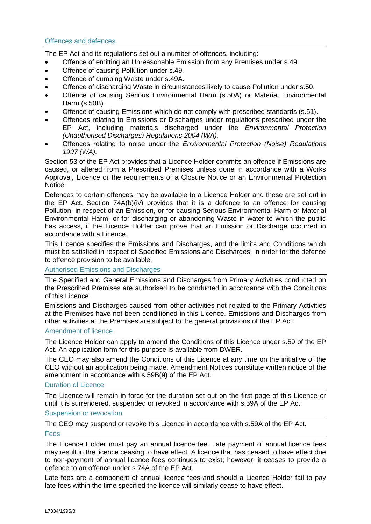The EP Act and its regulations set out a number of offences, including:

- Offence of emitting an Unreasonable Emission from any Premises under s.49.
- Offence of causing Pollution under s.49.
- Offence of dumping Waste under s.49A.
- Offence of discharging Waste in circumstances likely to cause Pollution under s.50.
- Offence of causing Serious Environmental Harm (s.50A) or Material Environmental Harm (s.50B).
- Offence of causing Emissions which do not comply with prescribed standards (s.51).
- Offences relating to Emissions or Discharges under regulations prescribed under the EP Act, including materials discharged under the *Environmental Protection (Unauthorised Discharges) Regulations 2004 (WA).*
- Offences relating to noise under the *Environmental Protection (Noise) Regulations 1997 (WA).*

Section 53 of the EP Act provides that a Licence Holder commits an offence if Emissions are caused, or altered from a Prescribed Premises unless done in accordance with a Works Approval, Licence or the requirements of a Closure Notice or an Environmental Protection Notice.

Defences to certain offences may be available to a Licence Holder and these are set out in the EP Act. Section 74A(b)(iv) provides that it is a defence to an offence for causing Pollution, in respect of an Emission, or for causing Serious Environmental Harm or Material Environmental Harm, or for discharging or abandoning Waste in water to which the public has access, if the Licence Holder can prove that an Emission or Discharge occurred in accordance with a Licence.

This Licence specifies the Emissions and Discharges, and the limits and Conditions which must be satisfied in respect of Specified Emissions and Discharges, in order for the defence to offence provision to be available.

Authorised Emissions and Discharges

The Specified and General Emissions and Discharges from Primary Activities conducted on the Prescribed Premises are authorised to be conducted in accordance with the Conditions of this Licence.

Emissions and Discharges caused from other activities not related to the Primary Activities at the Premises have not been conditioned in this Licence. Emissions and Discharges from other activities at the Premises are subject to the general provisions of the EP Act.

#### Amendment of licence

The Licence Holder can apply to amend the Conditions of this Licence under s.59 of the EP Act. An application form for this purpose is available from DWER.

The CEO may also amend the Conditions of this Licence at any time on the initiative of the CEO without an application being made. Amendment Notices constitute written notice of the amendment in accordance with s.59B(9) of the EP Act.

#### Duration of Licence

The Licence will remain in force for the duration set out on the first page of this Licence or until it is surrendered, suspended or revoked in accordance with s.59A of the EP Act.

Suspension or revocation

The CEO may suspend or revoke this Licence in accordance with s.59A of the EP Act. Fees

The Licence Holder must pay an annual licence fee. Late payment of annual licence fees may result in the licence ceasing to have effect. A licence that has ceased to have effect due to non-payment of annual licence fees continues to exist; however, it ceases to provide a defence to an offence under s.74A of the EP Act.

Late fees are a component of annual licence fees and should a Licence Holder fail to pay late fees within the time specified the licence will similarly cease to have effect.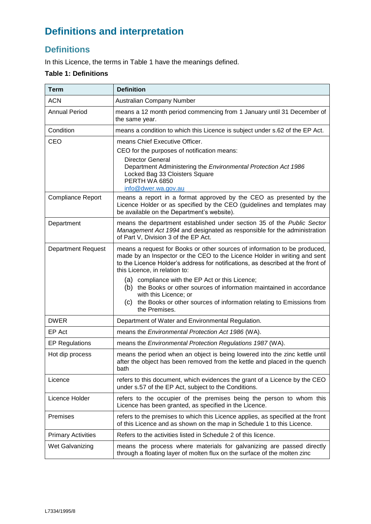# **Definitions and interpretation**

## **Definitions**

In this Licence, the terms in Table 1 have the meanings defined.

### **Table 1: Definitions**

| <b>Term</b>               | <b>Definition</b>                                                                                                                                                                                                                                                                                                                                                                                                                                                                                            |
|---------------------------|--------------------------------------------------------------------------------------------------------------------------------------------------------------------------------------------------------------------------------------------------------------------------------------------------------------------------------------------------------------------------------------------------------------------------------------------------------------------------------------------------------------|
| <b>ACN</b>                | Australian Company Number                                                                                                                                                                                                                                                                                                                                                                                                                                                                                    |
| <b>Annual Period</b>      | means a 12 month period commencing from 1 January until 31 December of<br>the same year.                                                                                                                                                                                                                                                                                                                                                                                                                     |
| Condition                 | means a condition to which this Licence is subject under s.62 of the EP Act.                                                                                                                                                                                                                                                                                                                                                                                                                                 |
| CEO                       | means Chief Executive Officer.<br>CEO for the purposes of notification means:<br><b>Director General</b><br>Department Administering the Environmental Protection Act 1986<br>Locked Bag 33 Cloisters Square<br>PERTH WA 6850<br>info@dwer.wa.gov.au                                                                                                                                                                                                                                                         |
| <b>Compliance Report</b>  | means a report in a format approved by the CEO as presented by the<br>Licence Holder or as specified by the CEO (guidelines and templates may<br>be available on the Department's website).                                                                                                                                                                                                                                                                                                                  |
| Department                | means the department established under section 35 of the Public Sector<br>Management Act 1994 and designated as responsible for the administration<br>of Part V, Division 3 of the EP Act.                                                                                                                                                                                                                                                                                                                   |
| <b>Department Request</b> | means a request for Books or other sources of information to be produced,<br>made by an Inspector or the CEO to the Licence Holder in writing and sent<br>to the Licence Holder's address for notifications, as described at the front of<br>this Licence, in relation to:<br>(a) compliance with the EP Act or this Licence;<br>(b) the Books or other sources of information maintained in accordance<br>with this Licence; or<br>(c) the Books or other sources of information relating to Emissions from |
| <b>DWER</b>               | the Premises.<br>Department of Water and Environmental Regulation.                                                                                                                                                                                                                                                                                                                                                                                                                                           |
| EP Act                    | means the Environmental Protection Act 1986 (WA).                                                                                                                                                                                                                                                                                                                                                                                                                                                            |
| <b>EP Regulations</b>     | means the Environmental Protection Regulations 1987 (WA).                                                                                                                                                                                                                                                                                                                                                                                                                                                    |
| Hot dip process           | means the period when an object is being lowered into the zinc kettle until<br>after the object has been removed from the kettle and placed in the quench<br>bath                                                                                                                                                                                                                                                                                                                                            |
| Licence                   | refers to this document, which evidences the grant of a Licence by the CEO<br>under s.57 of the EP Act, subject to the Conditions.                                                                                                                                                                                                                                                                                                                                                                           |
| Licence Holder            | refers to the occupier of the premises being the person to whom this<br>Licence has been granted, as specified in the Licence.                                                                                                                                                                                                                                                                                                                                                                               |
| Premises                  | refers to the premises to which this Licence applies, as specified at the front<br>of this Licence and as shown on the map in Schedule 1 to this Licence.                                                                                                                                                                                                                                                                                                                                                    |
| <b>Primary Activities</b> | Refers to the activities listed in Schedule 2 of this licence.                                                                                                                                                                                                                                                                                                                                                                                                                                               |
| Wet Galvanizing           | means the process where materials for galvanizing are passed directly<br>through a floating layer of molten flux on the surface of the molten zinc                                                                                                                                                                                                                                                                                                                                                           |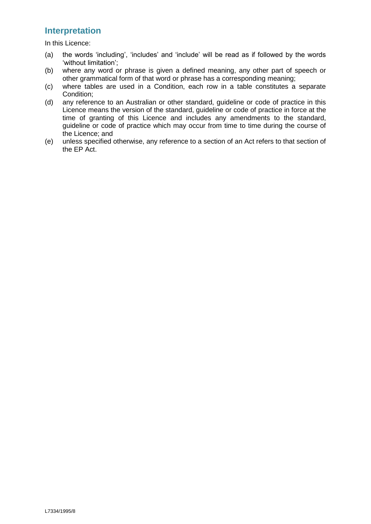### **Interpretation**

In this Licence:

- (a) the words 'including', 'includes' and 'include' will be read as if followed by the words 'without limitation';
- (b) where any word or phrase is given a defined meaning, any other part of speech or other grammatical form of that word or phrase has a corresponding meaning;
- (c) where tables are used in a Condition, each row in a table constitutes a separate Condition;
- (d) any reference to an Australian or other standard, guideline or code of practice in this Licence means the version of the standard, guideline or code of practice in force at the time of granting of this Licence and includes any amendments to the standard, guideline or code of practice which may occur from time to time during the course of the Licence; and
- (e) unless specified otherwise, any reference to a section of an Act refers to that section of the EP Act.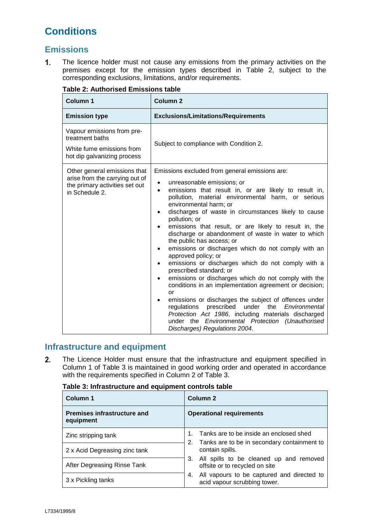# **Conditions**

### **Emissions**

 $1.$ The licence holder must not cause any emissions from the primary activities on the premises except for the emission types described in [Table 2,](#page-5-0) subject to the corresponding exclusions, limitations, and/or requirements.

| <b>Column 1</b>                                                                                                    | <b>Column 2</b>                                                                                                                                                                                                                                                                                                                                                                                                                                                                                                                                                                                                                                                                                                                                                                                                                                                                                                                                                                                                                                    |  |
|--------------------------------------------------------------------------------------------------------------------|----------------------------------------------------------------------------------------------------------------------------------------------------------------------------------------------------------------------------------------------------------------------------------------------------------------------------------------------------------------------------------------------------------------------------------------------------------------------------------------------------------------------------------------------------------------------------------------------------------------------------------------------------------------------------------------------------------------------------------------------------------------------------------------------------------------------------------------------------------------------------------------------------------------------------------------------------------------------------------------------------------------------------------------------------|--|
| <b>Emission type</b>                                                                                               | <b>Exclusions/Limitations/Requirements</b>                                                                                                                                                                                                                                                                                                                                                                                                                                                                                                                                                                                                                                                                                                                                                                                                                                                                                                                                                                                                         |  |
| Vapour emissions from pre-<br>treatment baths<br>White fume emissions from<br>hot dip galvanizing process          | Subject to compliance with Condition 2.                                                                                                                                                                                                                                                                                                                                                                                                                                                                                                                                                                                                                                                                                                                                                                                                                                                                                                                                                                                                            |  |
| Other general emissions that<br>arise from the carrying out of<br>the primary activities set out<br>in Schedule 2. | Emissions excluded from general emissions are:<br>unreasonable emissions; or<br>٠<br>emissions that result in, or are likely to result in,<br>$\bullet$<br>pollution, material environmental harm, or serious<br>environmental harm; or<br>discharges of waste in circumstances likely to cause<br>pollution; or<br>emissions that result, or are likely to result in, the<br>discharge or abandonment of waste in water to which<br>the public has access; or<br>emissions or discharges which do not comply with an<br>$\bullet$<br>approved policy; or<br>emissions or discharges which do not comply with a<br>$\bullet$<br>prescribed standard; or<br>emissions or discharges which do not comply with the<br>conditions in an implementation agreement or decision;<br>or<br>emissions or discharges the subject of offences under<br>prescribed<br>under<br>regulations<br>the<br>Environmental<br>Protection Act 1986, including materials discharged<br>under the Environmental Protection (Unauthorised<br>Discharges) Regulations 2004. |  |

### <span id="page-5-0"></span>**Table 2: Authorised Emissions table**

## **Infrastructure and equipment**

 $2.$ The Licence Holder must ensure that the infrastructure and equipment specified in Column 1 of Table 3 is maintained in good working order and operated in accordance with the requirements specified in Column 2 of Table 3.

| Column 1                                        | Column <sub>2</sub>                                                              |  |
|-------------------------------------------------|----------------------------------------------------------------------------------|--|
| <b>Premises infrastructure and</b><br>equipment | <b>Operational requirements</b>                                                  |  |
| Zinc stripping tank                             | Tanks are to be inside an enclosed shed                                          |  |
| 2 x Acid Degreasing zinc tank                   | Tanks are to be in secondary containment to<br>2.<br>contain spills.             |  |
| After Degreasing Rinse Tank                     | All spills to be cleaned up and removed<br>3.<br>offsite or to recycled on site  |  |
| 3 x Pickling tanks                              | All vapours to be captured and directed to<br>4.<br>acid vapour scrubbing tower. |  |

#### **Table 3: Infrastructure and equipment controls table**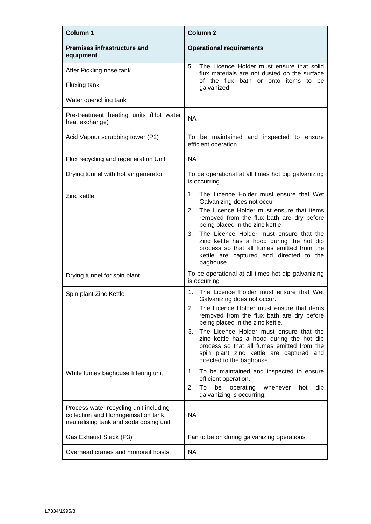| <b>Column 1</b>                                                                                                         | <b>Column 2</b>                                                                                                                                                                                                                                                                                                                                                                                                                      |  |
|-------------------------------------------------------------------------------------------------------------------------|--------------------------------------------------------------------------------------------------------------------------------------------------------------------------------------------------------------------------------------------------------------------------------------------------------------------------------------------------------------------------------------------------------------------------------------|--|
| <b>Premises infrastructure and</b><br>equipment                                                                         | <b>Operational requirements</b>                                                                                                                                                                                                                                                                                                                                                                                                      |  |
| After Pickling rinse tank                                                                                               | The Licence Holder must ensure that solid<br>5.<br>flux materials are not dusted on the surface                                                                                                                                                                                                                                                                                                                                      |  |
| Fluxing tank                                                                                                            | of the flux bath or onto items to be<br>galvanized                                                                                                                                                                                                                                                                                                                                                                                   |  |
| Water quenching tank                                                                                                    |                                                                                                                                                                                                                                                                                                                                                                                                                                      |  |
| Pre-treatment heating units (Hot water<br>heat exchange)                                                                | <b>NA</b>                                                                                                                                                                                                                                                                                                                                                                                                                            |  |
| Acid Vapour scrubbing tower (P2)                                                                                        | To be maintained and inspected to ensure<br>efficient operation                                                                                                                                                                                                                                                                                                                                                                      |  |
| Flux recycling and regeneration Unit                                                                                    | <b>NA</b>                                                                                                                                                                                                                                                                                                                                                                                                                            |  |
| Drying tunnel with hot air generator                                                                                    | To be operational at all times hot dip galvanizing<br>is occurring                                                                                                                                                                                                                                                                                                                                                                   |  |
| Zinc kettle                                                                                                             | $1_{-}$<br>The Licence Holder must ensure that Wet<br>Galvanizing does not occur<br>2.<br>The Licence Holder must ensure that items<br>removed from the flux bath are dry before<br>being placed in the zinc kettle<br>3.<br>The Licence Holder must ensure that the<br>zinc kettle has a hood during the hot dip<br>process so that all fumes emitted from the<br>kettle are captured and directed to the<br>baghouse               |  |
| Drying tunnel for spin plant                                                                                            | To be operational at all times hot dip galvanizing<br>is occurring                                                                                                                                                                                                                                                                                                                                                                   |  |
| Spin plant Zinc Kettle                                                                                                  | The Licence Holder must ensure that Wet<br>1.<br>Galvanizing does not occur.<br>The Licence Holder must ensure that items<br>2.<br>removed from the flux bath are dry before<br>being placed in the zinc kettle.<br>The Licence Holder must ensure that the<br>3.<br>zinc kettle has a hood during the hot dip<br>process so that all fumes emitted from the<br>spin plant zinc kettle are captured and<br>directed to the baghouse. |  |
| White fumes baghouse filtering unit                                                                                     | To be maintained and inspected to ensure<br>1.<br>efficient operation.<br>To<br>be<br>2.<br>operating<br>whenever<br>dip<br>hot<br>galvanizing is occurring.                                                                                                                                                                                                                                                                         |  |
| Process water recycling unit including<br>collection and Homogenisation tank,<br>neutralising tank and soda dosing unit | <b>NA</b>                                                                                                                                                                                                                                                                                                                                                                                                                            |  |
| Gas Exhaust Stack (P3)                                                                                                  | Fan to be on during galvanizing operations                                                                                                                                                                                                                                                                                                                                                                                           |  |
| Overhead cranes and monorail hoists                                                                                     | <b>NA</b>                                                                                                                                                                                                                                                                                                                                                                                                                            |  |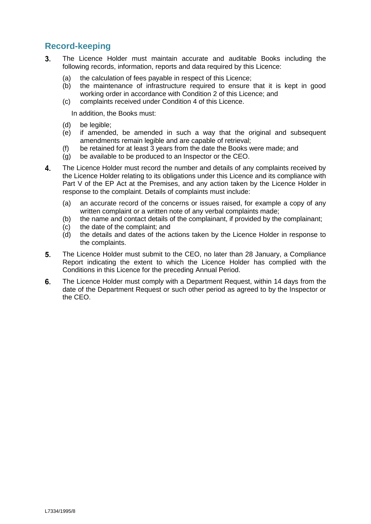## **Record-keeping**

- $3<sub>1</sub>$ The Licence Holder must maintain accurate and auditable Books including the following records, information, reports and data required by this Licence:
	- (a) the calculation of fees payable in respect of this Licence;
	- (b) the maintenance of infrastructure required to ensure that it is kept in good working order in accordance with Condition 2 of this Licence; and
	- (c) complaints received under Condition 4 of this Licence.

In addition, the Books must:

- (d) be legible;
- (e) if amended, be amended in such a way that the original and subsequent amendments remain legible and are capable of retrieval;
- (f) be retained for at least 3 years from the date the Books were made; and
- (g) be available to be produced to an Inspector or the CEO.
- $\overline{\mathbf{A}}$ The Licence Holder must record the number and details of any complaints received by the Licence Holder relating to its obligations under this Licence and its compliance with Part V of the EP Act at the Premises, and any action taken by the Licence Holder in response to the complaint. Details of complaints must include:
	- (a) an accurate record of the concerns or issues raised, for example a copy of any written complaint or a written note of any verbal complaints made;
	- (b) the name and contact details of the complainant, if provided by the complainant;
	- (c) the date of the complaint; and
	- (d) the details and dates of the actions taken by the Licence Holder in response to the complaints.
- 5. The Licence Holder must submit to the CEO, no later than 28 January, a Compliance Report indicating the extent to which the Licence Holder has complied with the Conditions in this Licence for the preceding Annual Period.
- 6. The Licence Holder must comply with a Department Request, within 14 days from the date of the Department Request or such other period as agreed to by the Inspector or the CEO.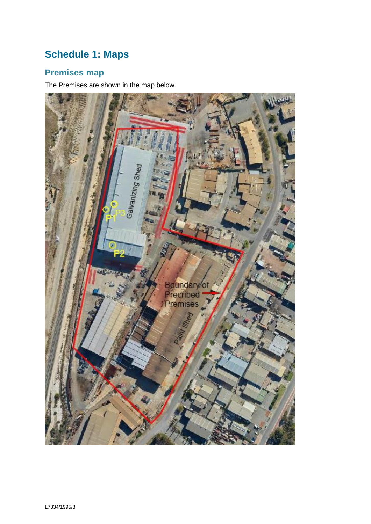# **Schedule 1: Maps**

## **Premises map**

The Premises are shown in the map below.